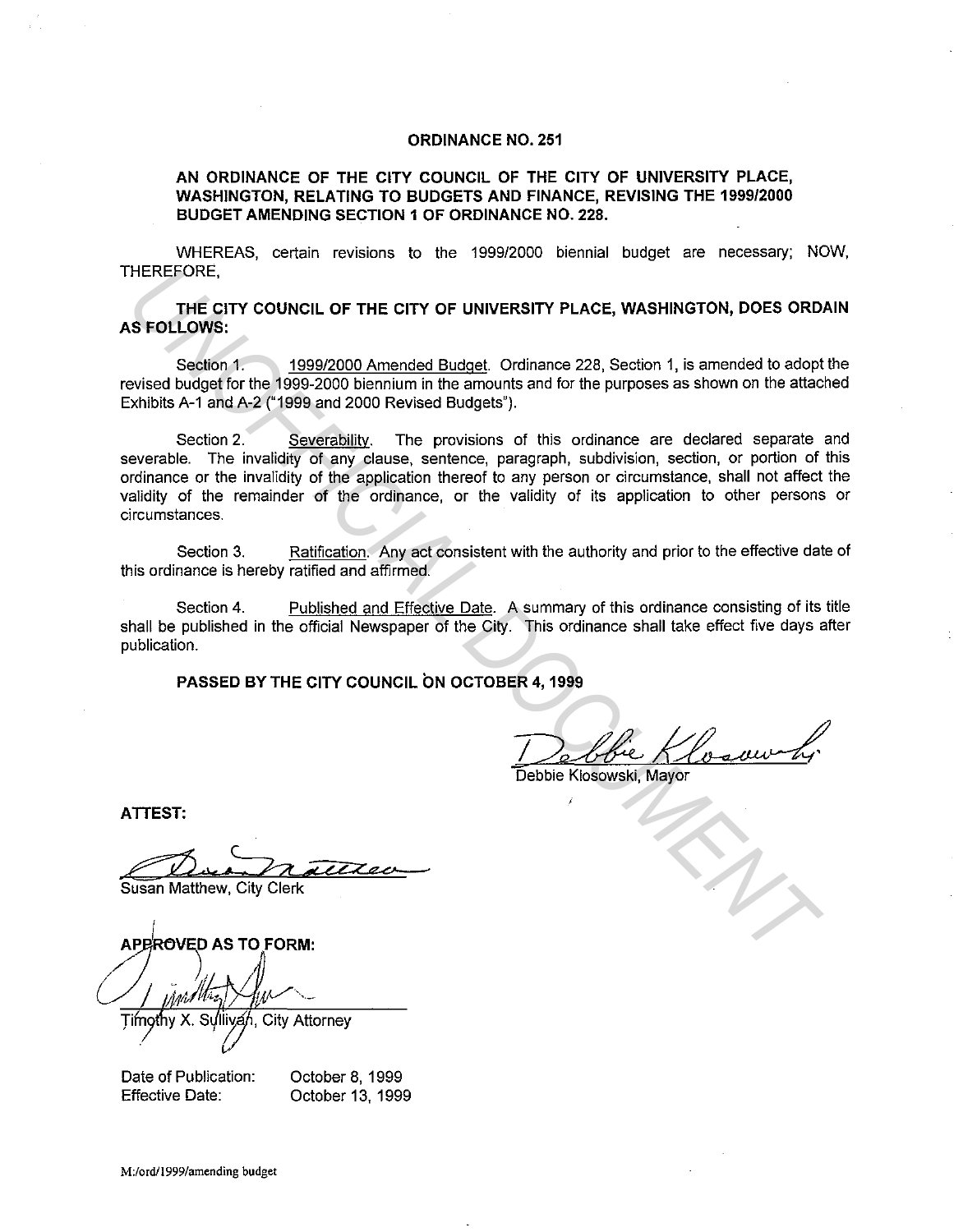## **ORDINANCE NO. 251**

**AN ORDINANCE OF THE CITY COUNCIL OF THE CITY OF UNIVERSITY PLACE, WASHINGTON, RELATING TO BUDGETS AND FINANCE, REVISING THE 1999/2000 BUDGET AMENDING SECTION 1 OF ORDINANCE NO. 228.** 

WHEREAS, certain revisions to the 1999/2000 biennial budget are necessary; NOW, THEREFORE,

**THE CITY COUNCIL OF THE CITY OF UNIVERSITY PLACE, WASHINGTON, DOES ORDAIN AS FOLLOWS:** 

Section 1. 1999/2000 Amended Budget. Ordinance 228, Section 1, is amended to adopt the revised budget for the 1999-2000 biennium in the amounts and for the purposes as shown on the attached Exhibits A-1 and A-2 ("1999 and 2000 Revised Budgets").

Section 2. Severability. The provisions of this ordinance are declared separate and severable. The invalidity of any clause, sentence, paragraph, subdivision, section, or portion of this ordinance or the invalidity of the application thereof to any person or circumstance, shall not affect the validity of the remainder of the ordinance, or the validity of its application to other persons or circumstances. **HEREFORE,**<br> **UNDECITY COUNCIL OF THE CITY OF UNIVERSITY PLACE, WASHINGTON, DOES ORD.**<br> **USE CRIMITY COUNCIL OF THE CITY OF UNIVERSITY PLACE, WASHINGTON, DOES ORD**<br>
Seekion 1. 1999/2000 Amended Budget Ordinance 228, Sectio

Section 3. Ratification. Any act consistent with the authority and prior to the effective date of this ordinance is hereby ratified and affirmed.

Section 4. Published and Effective Date. A summary of this ordinance consisting of its title shall be published in the official Newspaper of the City. This ordinance shall take effect five days after publication.

**PASSED BY THE CITY COUNCIL ON OCTOBER 4, 1999** 

Debbie Klosowski, Mayor

**ATTEST:** 

Timothy X. Sullivan, City Attorney

Date of Publication: Effective Date:

October 8, 1999 October 13, 1999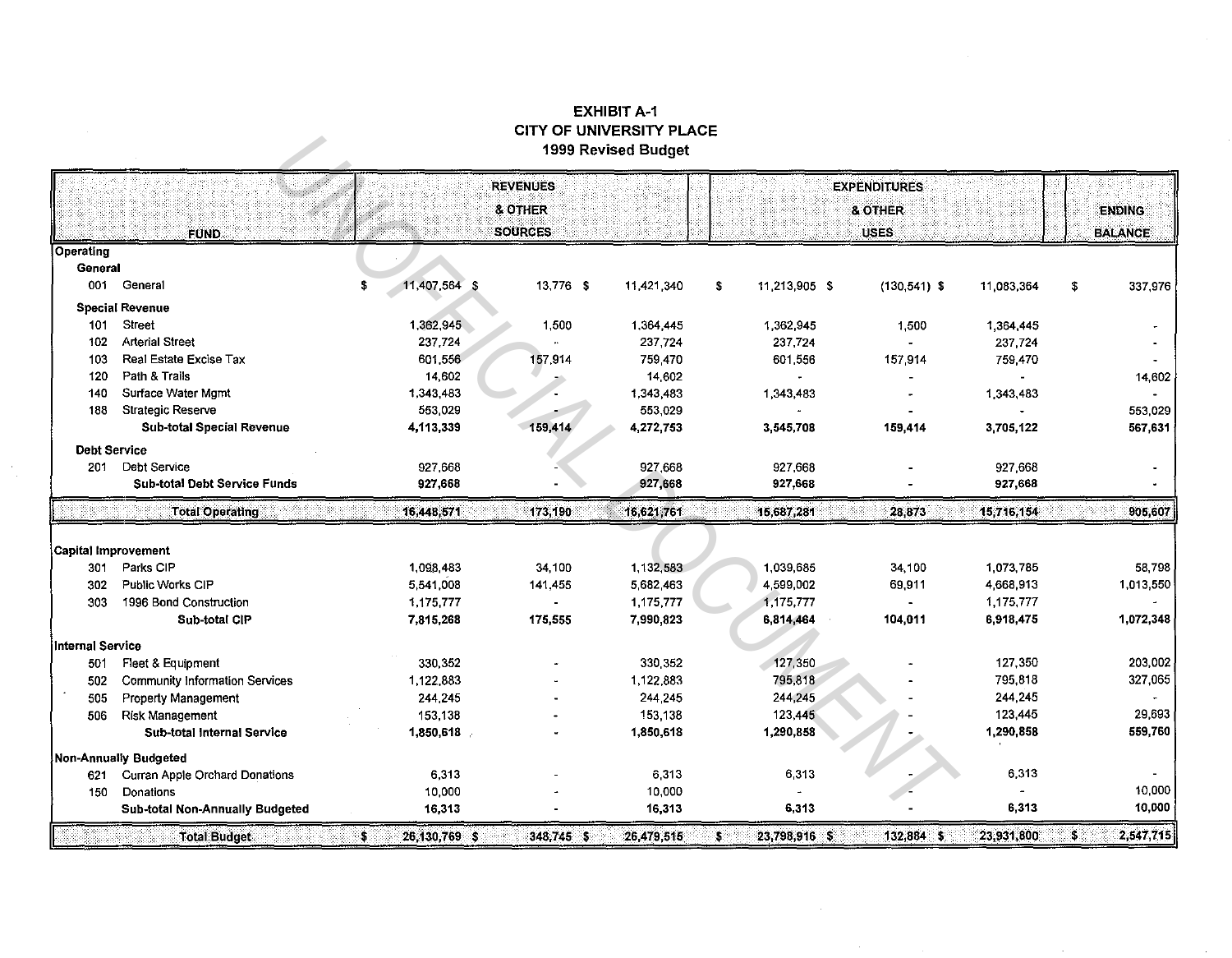## EXHIBIT A·1 CITY OF UNIVERSITY PLACE 1999 Revised Budget

|                            |                                                         |                                              |           | 1999 Revised Budget |                                               |               |                 |                                 |               |
|----------------------------|---------------------------------------------------------|----------------------------------------------|-----------|---------------------|-----------------------------------------------|---------------|-----------------|---------------------------------|---------------|
|                            | <b>FUND</b>                                             | <b>REVENUES</b><br>& OTHER<br><b>SOURCES</b> |           |                     | <b>EXPENDITURES</b><br>& OTHER<br><b>USES</b> |               |                 | <b>ENDING</b><br><b>BALANCE</b> |               |
| Operating                  |                                                         |                                              |           |                     |                                               |               |                 |                                 |               |
| General                    |                                                         |                                              |           |                     |                                               |               |                 |                                 |               |
| 001                        | General                                                 | 11,407,564 \$<br>S                           | 13,776 \$ | 11,421,340          | \$                                            | 11,213,905 \$ | $(130, 541)$ \$ | 11,083,364                      | \$<br>337,976 |
|                            | <b>Special Revenue</b>                                  |                                              |           |                     |                                               |               |                 |                                 |               |
| 101                        | <b>Street</b>                                           | 1,362,945                                    | 1,500     | 1.364,445           |                                               | 1,362,945     | 1,500           | 1,364,445                       |               |
| 102                        | <b>Arterial Street</b>                                  | 237,724                                      |           | 237,724             |                                               | 237 724       |                 | 237,724                         |               |
| 103                        | Real Estate Excise Tax                                  | 601,556                                      | 157,914   | 759,470             |                                               | 601.556       | 157,914         | 759,470                         |               |
| 120                        | Path & Trails                                           | 14,602                                       |           | 14,602              |                                               |               |                 |                                 | 14,602        |
| 140                        | Surface Water Mgmt                                      | 1,343,483                                    |           | 1,343,483           |                                               | 1,343,483     |                 | 1,343,483                       |               |
| 188                        | <b>Strategic Reserve</b>                                | 553 029                                      |           | 553,029             |                                               |               |                 |                                 | 553.029       |
|                            | Sub-total Special Revenue                               | 4,113,339                                    | 159,414   | 4,272,753           |                                               | 3,545,708     | 159,414         | 3,705,122                       | 567,631       |
| <b>Debt Service</b>        |                                                         |                                              |           |                     |                                               |               |                 |                                 |               |
| 201                        | Debt Service                                            | 927 668                                      |           | 927,668             |                                               | 927,668       |                 | 927,668                         |               |
|                            | <b>Sub-total Debt Service Funds</b>                     | 927,668                                      |           | 927,668             |                                               | 927,668       |                 | 927,668                         |               |
|                            | <b>Total Operating</b>                                  | 16,448.571                                   | 173,190   | 16,621,761          |                                               | 15,687,281    | 28,873          | 15,716,154                      | 905,607       |
|                            |                                                         |                                              |           |                     |                                               |               |                 |                                 |               |
| <b>Capital Improvement</b> |                                                         |                                              |           |                     |                                               |               |                 |                                 |               |
| 301                        | Parks CIP                                               | 1,098 483                                    | 34,100    | 1.132,583           |                                               | 1.039.685     | 34,100          | 1.073,785                       | 58.798        |
| 302                        | Public Works CIP                                        | 5,541,008                                    | 141,455   | 5 682,463           |                                               | 4,599,002     | 69,911          | 4 668,913                       | 1,013,550     |
| 303                        | 1996 Bond Construction                                  | 1,175,777                                    |           | 1,175,777           |                                               | 1,175,777     |                 | 1,175,777                       |               |
|                            | Sub-total CIP                                           | 7,815,268                                    | 175,555   | 7,990,823           |                                               | 6,814,464     | 104,011         | 6,918,475                       | 1,072,348     |
| Internal Service           |                                                         |                                              |           |                     |                                               |               |                 |                                 |               |
| 501                        | Fleet & Equipment                                       | 330,352                                      |           | 330,352             |                                               | 127,350       |                 | 127,350                         | 203,002       |
| 502                        | Community Information Services                          | 1,122,883                                    |           | 1,122,883           |                                               | 795,818       |                 | 795,818                         | 327,065       |
|                            |                                                         |                                              |           | 244,245             |                                               | 244,245       |                 | 244,245                         |               |
| 505                        |                                                         | 244 245                                      |           |                     |                                               |               |                 |                                 |               |
| 506                        | <b>Property Management</b><br><b>Risk Management</b>    | 153 138                                      |           | 153,138             |                                               | 123,445       |                 | 123,445                         | 29,693        |
|                            | <b>Sub-total Internal Service</b>                       | 1,850,618                                    |           | 1,850,618           |                                               | 1,290,858     |                 | 1,290,858                       | 559,760       |
|                            |                                                         |                                              |           |                     |                                               |               |                 |                                 |               |
| 621                        | Non-Annually Budgeted<br>Curran Apple Orchard Donations | 6,313                                        |           | 6,313               |                                               | 6,313         |                 | 6,313                           |               |
| 150                        | Donations                                               | 10,000                                       |           | 10,000              |                                               |               |                 |                                 | 10,000        |
|                            | Sub-total Non-Annually Budgeted                         | 16.313                                       |           | 16,313              |                                               | 6,313         |                 | 6,313                           | 10,000        |